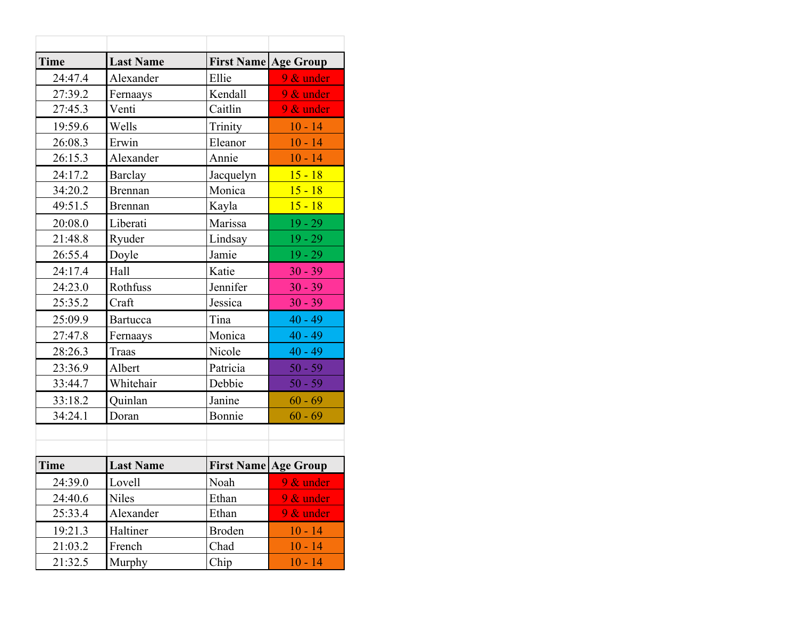| Time    | <b>Last Name</b> | <b>First Name</b> | <b>Age Group</b> |
|---------|------------------|-------------------|------------------|
| 24:47.4 | Alexander        | Ellie             | $9 &$ under      |
| 27:39.2 | Fernaays         | Kendall           | 9 & under        |
| 27:45.3 | Venti            | Caitlin           | $9 &$ under      |
| 19:59.6 | Wells            | Trinity           | $10 - 14$        |
| 26:08.3 | Erwin            | Eleanor           | $10 - 14$        |
| 26:15.3 | Alexander        | Annie             | $10 - 14$        |
| 24:17.2 | Barclay          | Jacquelyn         | $15 - 18$        |
| 34:20.2 | <b>Brennan</b>   | Monica            | $15 - 18$        |
| 49:51.5 | <b>Brennan</b>   | Kayla             | $15 - 18$        |
| 20:08.0 | Liberati         | Marissa           | $19 - 29$        |
| 21:48.8 | Ryuder           | Lindsay           | $19 - 29$        |
| 26:55.4 | Doyle            | Jamie             | $19 - 29$        |
| 24:17.4 | Hall             | Katie             | $30 - 39$        |
| 24:23.0 | Rothfuss         | Jennifer          | $30 - 39$        |
| 25:35.2 | Craft            | Jessica           | $30 - 39$        |
| 25:09.9 | Bartucca         | Tina              | $40 - 49$        |
| 27:47.8 | Fernaays         | Monica            | $40 - 49$        |
| 28:26.3 | Traas            | Nicole            | $40 - 49$        |
| 23:36.9 | Albert           | Patricia          | $50 - 59$        |
| 33:44.7 | Whitehair        | Debbie            | $50 - 59$        |
| 33:18.2 | Quinlan          | Janine            | $60 - 69$        |
| 34:24.1 | Doran            | Bonnie            | $60 - 69$        |
|         |                  |                   |                  |
|         |                  |                   |                  |
| Time    | <b>Last Name</b> | <b>First Name</b> | <b>Age Group</b> |
| 24:39.0 | Lovell           | Noah              | $9 &$ under      |
| 24:40.6 | <b>Niles</b>     | Ethan             | $9 &$ under      |
| 25:33.4 | Alexander        | Ethan             | $9 &$ under      |
| 19:21.3 | Haltiner         | <b>Broden</b>     | $10 - 14$        |
| 21:03.2 | French           | Chad              | $10 - 14$        |
| 21:32.5 | Murphy           | Chip              | $10 - 14$        |